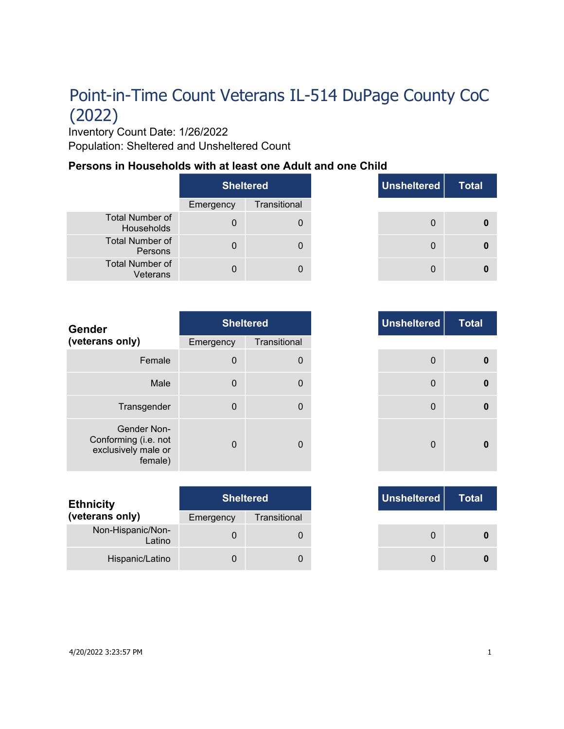# Point-in-Time Count Veterans IL-514 DuPage County CoC (2022)

Inventory Count Date: 1/26/2022 Population: Sheltered and Unsheltered Count

#### **Persons in Households with at least one Adult and one Child**

|                                      | <b>Sheltered</b> |              |
|--------------------------------------|------------------|--------------|
|                                      | Emergency        | Transitional |
| <b>Total Number of</b><br>Households |                  |              |
| Total Number of<br>Persons           |                  |              |
| <b>Total Number of</b><br>Veterans   |                  |              |

| <b>Sheltered</b> |              | Unsheltered | <b>Total</b> |
|------------------|--------------|-------------|--------------|
| ٦cγ              | Transitional |             |              |
| $\Omega$         | $\Omega$     | $\Omega$    |              |
| $\Omega$         | 0            | 0           |              |
| n                |              | 0           |              |

| <b>Gender</b>                                                         |             | <b>Sheltered</b> | Unsheltered    |
|-----------------------------------------------------------------------|-------------|------------------|----------------|
| (veterans only)                                                       | Emergency   | Transitional     |                |
| Female                                                                | $\mathbf 0$ | $\Omega$         | $\Omega$       |
| Male                                                                  | $\mathbf 0$ | 0                | $\overline{0}$ |
| Transgender                                                           | $\mathbf 0$ | 0                | $\Omega$       |
| Gender Non-<br>Conforming (i.e. not<br>exclusively male or<br>female) | $\Omega$    | 0                | $\Omega$       |

| <b>Ethnicity</b>            | <b>Sheltered</b> |              | Unsheltered |
|-----------------------------|------------------|--------------|-------------|
| (veterans only)             | Emergency        | Transitional |             |
| Non-Hispanic/Non-<br>Latino |                  |              |             |
| Hispanic/Latino             |                  |              |             |

|          | <b>Sheltered</b> |
|----------|------------------|
| าcy      | Transitional     |
| $\Omega$ | $\mathbf{0}$     |
| $\Omega$ | $\mathbf{0}$     |
| $\Omega$ | $\mathbf{0}$     |
| O        | $\Omega$         |

|     | <b>Sheltered</b> |
|-----|------------------|
| าcy | Transitional     |
| 0   |                  |
|     |                  |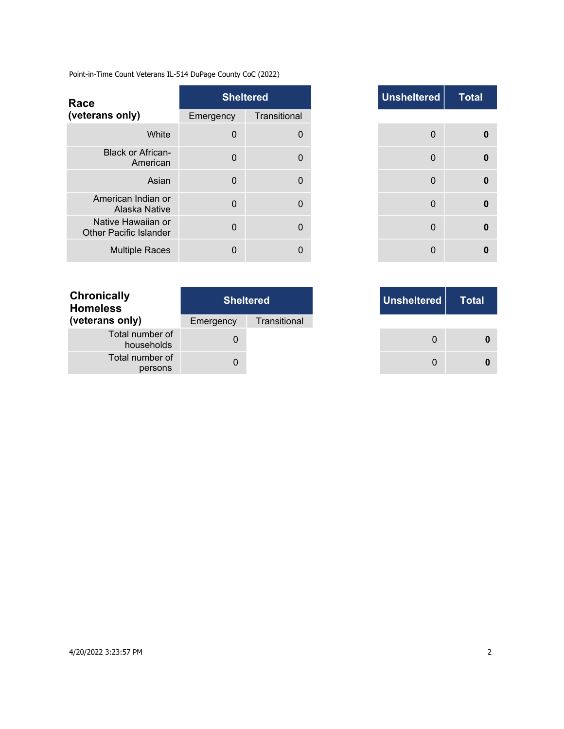Point-in-Time Count Veterans IL-514 DuPage County CoC (2022)

| Race                                                |             | <b>Sheltered</b> | <b>Unsheltered</b> |
|-----------------------------------------------------|-------------|------------------|--------------------|
| (veterans only)                                     | Emergency   | Transitional     |                    |
| White                                               | $\mathbf 0$ | $\Omega$         | $\Omega$           |
| <b>Black or African-</b><br>American                | $\Omega$    | $\Omega$         | $\Omega$           |
| Asian                                               | $\Omega$    | $\Omega$         | $\Omega$           |
| American Indian or<br>Alaska Native                 | $\Omega$    | $\Omega$         | $\Omega$           |
| Native Hawaiian or<br><b>Other Pacific Islander</b> | $\Omega$    | $\Omega$         | $\Omega$           |
| <b>Multiple Races</b>                               | $\Omega$    | 0                | $\Omega$           |

| <b>Chronically</b><br><b>Homeless</b> | <b>Sheltered</b> |              |  |
|---------------------------------------|------------------|--------------|--|
| (veterans only)                       | Emergency        | Transitional |  |
| Total number of<br>households         | $\mathbf{I}$     |              |  |
| Total number of<br>persons            |                  |              |  |

|                | <b>Sheltered</b> |
|----------------|------------------|
| าcy            | Transitional     |
| $\mathbf 0$    | $\Omega$         |
| $\Omega$       | $\Omega$         |
| $\overline{0}$ | $\mathbf{0}$     |
| $\Omega$       | $\Omega$         |
| $\Omega$       | 0                |
| U              | $\Omega$         |

| <b>Sheltered</b> |              |
|------------------|--------------|
| ٦cγ              | Transitional |
| 0                |              |
| 0                |              |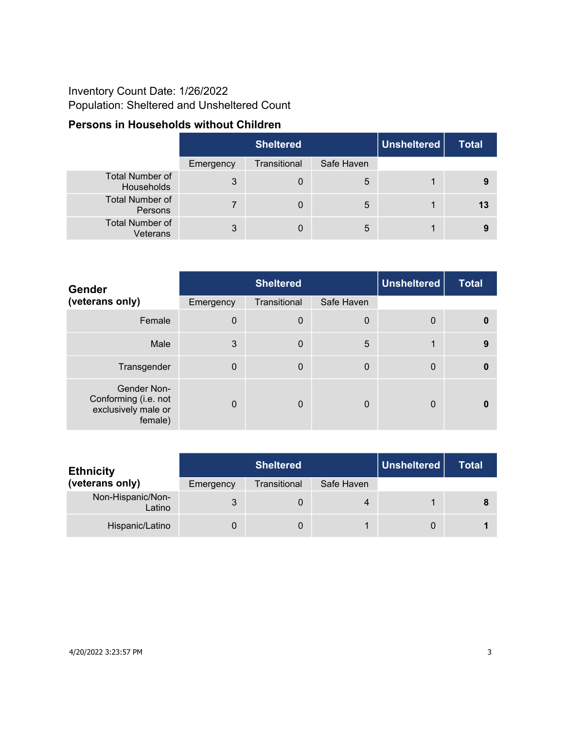## Inventory Count Date: 1/26/2022 Population: Sheltered and Unsheltered Count

### **Persons in Households without Children**

|                                      | <b>Sheltered</b> |              |            | Unsheltered | <b>Total</b> |
|--------------------------------------|------------------|--------------|------------|-------------|--------------|
|                                      | Emergency        | Transitional | Safe Haven |             |              |
| <b>Total Number of</b><br>Households | 3                | 0            | 5          |             | 9            |
| <b>Total Number of</b><br>Persons    |                  | 0            | 5          |             | 13           |
| <b>Total Number of</b><br>Veterans   | 3                | 0            | 5          |             |              |

| <b>Gender</b>                                                         |              | <b>Sheltered</b> |             | <b>Unsheltered</b> | <b>Total</b> |
|-----------------------------------------------------------------------|--------------|------------------|-------------|--------------------|--------------|
| (veterans only)                                                       | Emergency    | Transitional     | Safe Haven  |                    |              |
| Female                                                                | $\mathbf 0$  | $\boldsymbol{0}$ | $\mathbf 0$ | $\mathbf 0$        | $\bf{0}$     |
| Male                                                                  | 3            | $\mathbf 0$      | 5           | 1                  | 9            |
| Transgender                                                           | $\mathbf 0$  | $\mathbf 0$      | $\mathbf 0$ | $\mathbf{0}$       | $\bf{0}$     |
| Gender Non-<br>Conforming (i.e. not<br>exclusively male or<br>female) | $\mathbf{0}$ | $\mathbf 0$      | 0           | $\mathbf{0}$       |              |

| <b>Ethnicity</b>            |           | <b>Sheltered</b> |            | Unsheltered | Total |
|-----------------------------|-----------|------------------|------------|-------------|-------|
| (veterans only)             | Emergency | Transitional     | Safe Haven |             |       |
| Non-Hispanic/Non-<br>Latino |           |                  | 4          |             |       |
| Hispanic/Latino             |           |                  |            |             |       |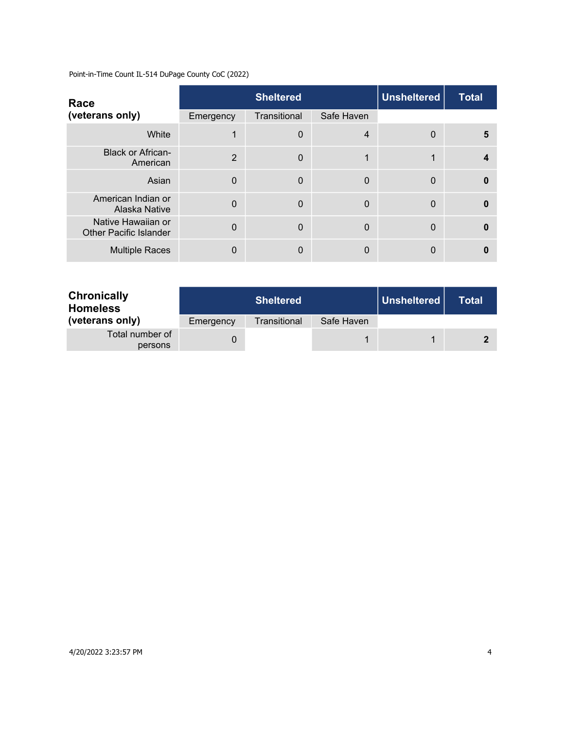Point-in-Time Count IL-514 DuPage County CoC (2022)

| Race                                                |                | <b>Sheltered</b> |            | <b>Unsheltered</b> | <b>Total</b> |
|-----------------------------------------------------|----------------|------------------|------------|--------------------|--------------|
| (veterans only)                                     | Emergency      | Transitional     | Safe Haven |                    |              |
| White                                               |                | $\mathbf 0$      | 4          | $\Omega$           | 5            |
| <b>Black or African-</b><br>American                | $\overline{2}$ | $\Omega$         |            | 1                  |              |
| Asian                                               | $\Omega$       | $\Omega$         | 0          | $\Omega$           |              |
| American Indian or<br>Alaska Native                 | $\overline{0}$ | $\mathbf 0$      | 0          | $\Omega$           |              |
| Native Hawaiian or<br><b>Other Pacific Islander</b> | $\Omega$       | $\Omega$         | 0          | $\Omega$           |              |
| <b>Multiple Races</b>                               | 0              | $\Omega$         | 0          | $\Omega$           |              |

| <b>Chronically</b><br><b>Homeless</b> |           | <b>Sheltered</b> |            | Unsheltered | Total |
|---------------------------------------|-----------|------------------|------------|-------------|-------|
| (veterans only)                       | Emergency | Transitional     | Safe Haven |             |       |
| Total number of<br>persons            |           |                  |            |             |       |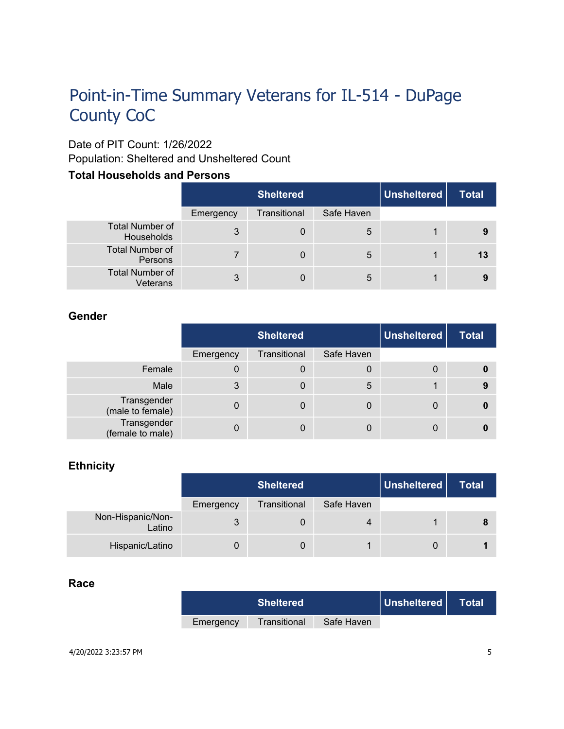# Point-in-Time Summary Veterans for IL-514 - DuPage County CoC

### Date of PIT Count: 1/26/2022

Population: Sheltered and Unsheltered Count

#### **Total Households and Persons**

|                                      |           | <b>Sheltered</b> |            | Unsheltered | <b>Total</b> |
|--------------------------------------|-----------|------------------|------------|-------------|--------------|
|                                      | Emergency | Transitional     | Safe Haven |             |              |
| <b>Total Number of</b><br>Households | 3         | $\overline{0}$   | 5          |             |              |
| <b>Total Number of</b><br>Persons    |           | 0                | 5          | 1           | 13           |
| <b>Total Number of</b><br>Veterans   | 3         |                  | 5          | 1           |              |

#### **Gender**

|                                 | <b>Sheltered</b> |              |            | Unsheltered | <b>Total</b> |
|---------------------------------|------------------|--------------|------------|-------------|--------------|
|                                 | Emergency        | Transitional | Safe Haven |             |              |
| Female                          | 0                | 0            | 0          | 0           |              |
| Male                            | 3                | 0            | 5          |             | 9            |
| Transgender<br>(male to female) | 0                | 0            | 0          | 0           |              |
| Transgender<br>(female to male) |                  | 0            | 0          | 0           |              |

#### **Ethnicity**

|                             | <b>Sheltered</b> |              |            | Unsheltered | <b>Total</b> |
|-----------------------------|------------------|--------------|------------|-------------|--------------|
|                             | Emergency        | Transitional | Safe Haven |             |              |
| Non-Hispanic/Non-<br>Latino | 3                |              | 4          |             |              |
| Hispanic/Latino             |                  |              |            | 0           |              |

#### **Race**

| <b>Sheltered</b> |              | Unsheltered | Total |  |
|------------------|--------------|-------------|-------|--|
| Emergency        | Transitional | Safe Haven  |       |  |